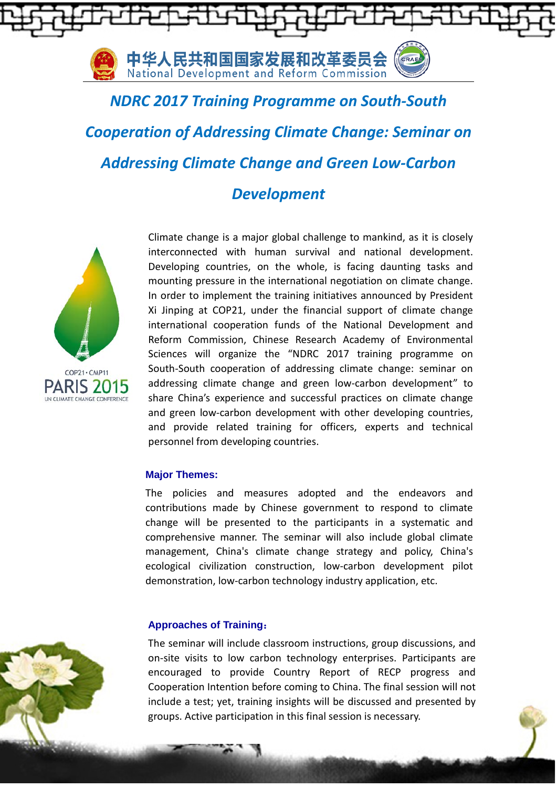

*NDRC 2017 Training Programme on South-South Cooperation of Addressing Climate Change: Seminar on Addressing Climate Change and Green Low-Carbon* 

# *Development*



Climate change is a major global challenge to mankind, as it is closely interconnected with human survival and national development. Developing countries, on the whole, is facing daunting tasks and mounting pressure in the international negotiation on climate change. In order to implement the training initiatives announced by President Xi Jinping at COP21, under the financial support of climate change international cooperation funds of the National Development and Reform Commission, Chinese Research Academy of Environmental Sciences will organize the "NDRC 2017 training programme on South-South cooperation of addressing climate change: seminar on addressing climate change and green low-carbon development" to share China's experience and successful practices on climate change and green low-carbon development with other developing countries, and provide related training for officers, experts and technical personnel from developing countries.

## **Major Themes:**

The policies and measures adopted and the endeavors and contributions made by Chinese government to respond to climate change will be presented to the participants in a systematic and comprehensive manner. The seminar will also include global climate management, China's climate change strategy and policy, China's ecological civilization construction, low-carbon development pilot demonstration, low-carbon technology industry application, etc.

### **Approaches of Training**:

The seminar will include classroom instructions, group discussions, and on-site visits to low carbon technology enterprises. Participants are encouraged to provide Country Report of RECP progress and Cooperation Intention before coming to China. The final session will not include a test; yet, training insights will be discussed and presented by groups. Active participation in this final session is necessary.